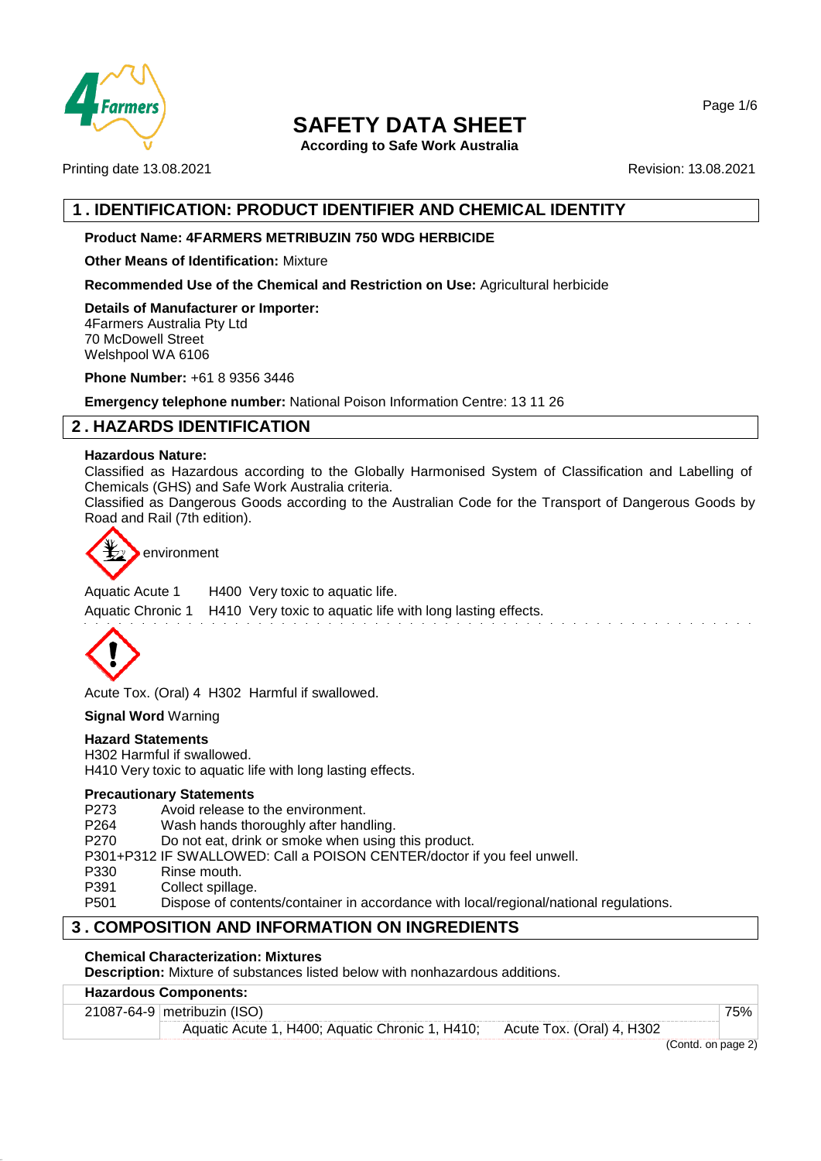

**According to Safe Work Australia**

Printing date 13.08.2021 **Revision: 13.08.2021** Revision: 13.08.2021

# **1 . IDENTIFICATION: PRODUCT IDENTIFIER AND CHEMICAL IDENTITY**

## **Product Name: 4FARMERS METRIBUZIN 750 WDG HERBICIDE**

**Other Means of Identification:** Mixture

**Recommended Use of the Chemical and Restriction on Use:** Agricultural herbicide

**Details of Manufacturer or Importer:** 4Farmers Australia Pty Ltd 70 McDowell Street Welshpool WA 6106

**Phone Number:** +61 8 9356 3446

**Emergency telephone number:** National Poison Information Centre: 13 11 26

# **2 . HAZARDS IDENTIFICATION**

### **Hazardous Nature:**

Classified as Hazardous according to the Globally Harmonised System of Classification and Labelling of Chemicals (GHS) and Safe Work Australia criteria.

Classified as Dangerous Goods according to the Australian Code for the Transport of Dangerous Goods by Road and Rail (7th edition).



Aquatic Acute 1 H400 Very toxic to aquatic life.

Aquatic Chronic 1 H410 Very toxic to aquatic life with long lasting effects.



Acute Tox. (Oral) 4 H302 Harmful if swallowed.

**Signal Word** Warning

#### **Hazard Statements**

H302 Harmful if swallowed. H410 Very toxic to aquatic life with long lasting effects.

#### **Precautionary Statements**

P273 Avoid release to the environment.

P264 Wash hands thoroughly after handling.

P270 Do not eat, drink or smoke when using this product.

P301+P312 IF SWALLOWED: Call a POISON CENTER/doctor if you feel unwell.

P330 Rinse mouth.

P391 Collect spillage.<br>P501 Dispose of cont

Dispose of contents/container in accordance with local/regional/national regulations.

# **3 . COMPOSITION AND INFORMATION ON INGREDIENTS**

## **Chemical Characterization: Mixtures**

**Description:** Mixture of substances listed below with nonhazardous additions.

## **Hazardous Components:**

## 21087-64-9 metribuzin (ISO) 75%

Aquatic Acute 1, H400; Aquatic Chronic 1, H410; Acute Tox. (Oral) 4, H302

(Contd. on page 2)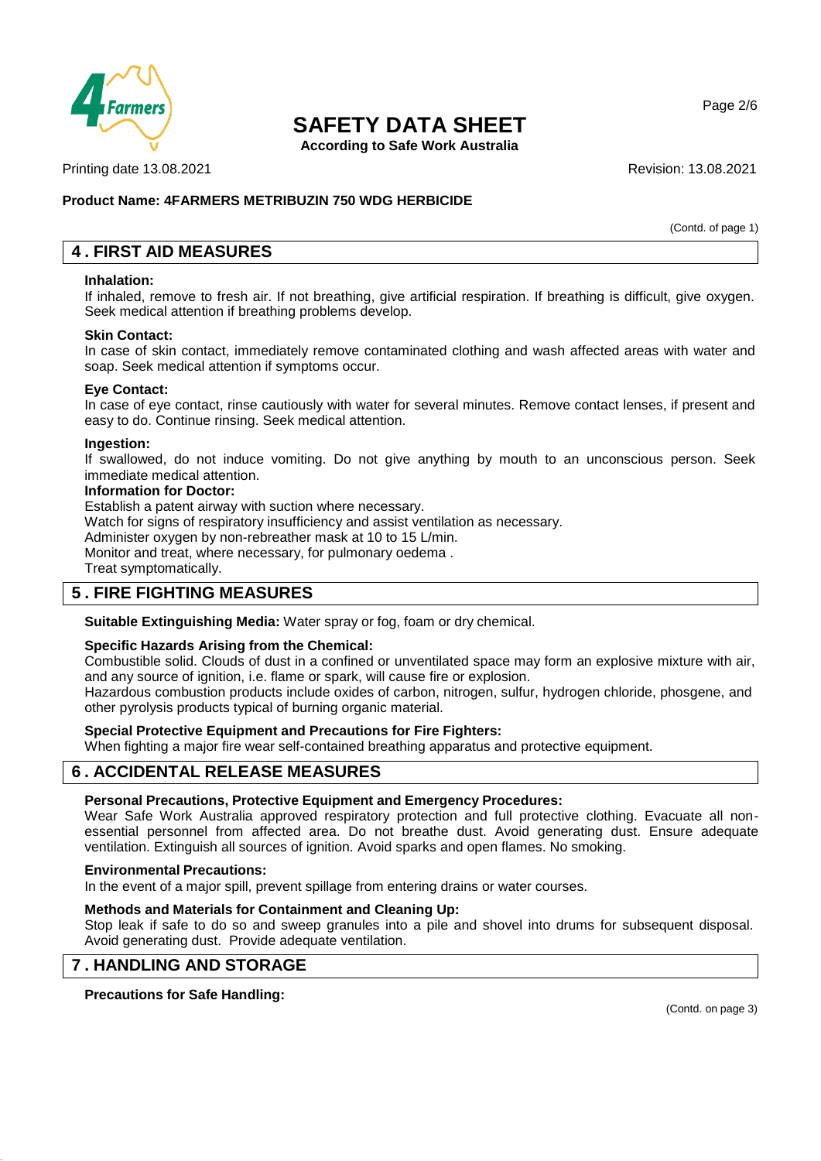

**According to Safe Work Australia**

Printing date 13.08.2021 **Revision: 13.08.2021** 

## **Product Name: 4FARMERS METRIBUZIN 750 WDG HERBICIDE**

(Contd. of page 1)

Page 2/6

## **4 . FIRST AID MEASURES**

#### **Inhalation:**

If inhaled, remove to fresh air. If not breathing, give artificial respiration. If breathing is difficult, give oxygen. Seek medical attention if breathing problems develop.

#### **Skin Contact:**

In case of skin contact, immediately remove contaminated clothing and wash affected areas with water and soap. Seek medical attention if symptoms occur.

#### **Eye Contact:**

In case of eye contact, rinse cautiously with water for several minutes. Remove contact lenses, if present and easy to do. Continue rinsing. Seek medical attention.

#### **Ingestion:**

If swallowed, do not induce vomiting. Do not give anything by mouth to an unconscious person. Seek immediate medical attention.

#### **Information for Doctor:**

Establish a patent airway with suction where necessary.

Watch for signs of respiratory insufficiency and assist ventilation as necessary.

Administer oxygen by non-rebreather mask at 10 to 15 L/min.

Monitor and treat, where necessary, for pulmonary oedema .

Treat symptomatically.

## **5 . FIRE FIGHTING MEASURES**

**Suitable Extinguishing Media:** Water spray or fog, foam or dry chemical.

#### **Specific Hazards Arising from the Chemical:**

Combustible solid. Clouds of dust in a confined or unventilated space may form an explosive mixture with air, and any source of ignition, i.e. flame or spark, will cause fire or explosion.

Hazardous combustion products include oxides of carbon, nitrogen, sulfur, hydrogen chloride, phosgene, and other pyrolysis products typical of burning organic material.

#### **Special Protective Equipment and Precautions for Fire Fighters:**

When fighting a major fire wear self-contained breathing apparatus and protective equipment.

## **6 . ACCIDENTAL RELEASE MEASURES**

#### **Personal Precautions, Protective Equipment and Emergency Procedures:**

Wear Safe Work Australia approved respiratory protection and full protective clothing. Evacuate all nonessential personnel from affected area. Do not breathe dust. Avoid generating dust. Ensure adequate ventilation. Extinguish all sources of ignition. Avoid sparks and open flames. No smoking.

#### **Environmental Precautions:**

In the event of a major spill, prevent spillage from entering drains or water courses.

#### **Methods and Materials for Containment and Cleaning Up:**

Stop leak if safe to do so and sweep granules into a pile and shovel into drums for subsequent disposal. Avoid generating dust. Provide adequate ventilation.

## **7 . HANDLING AND STORAGE**

**Precautions for Safe Handling:**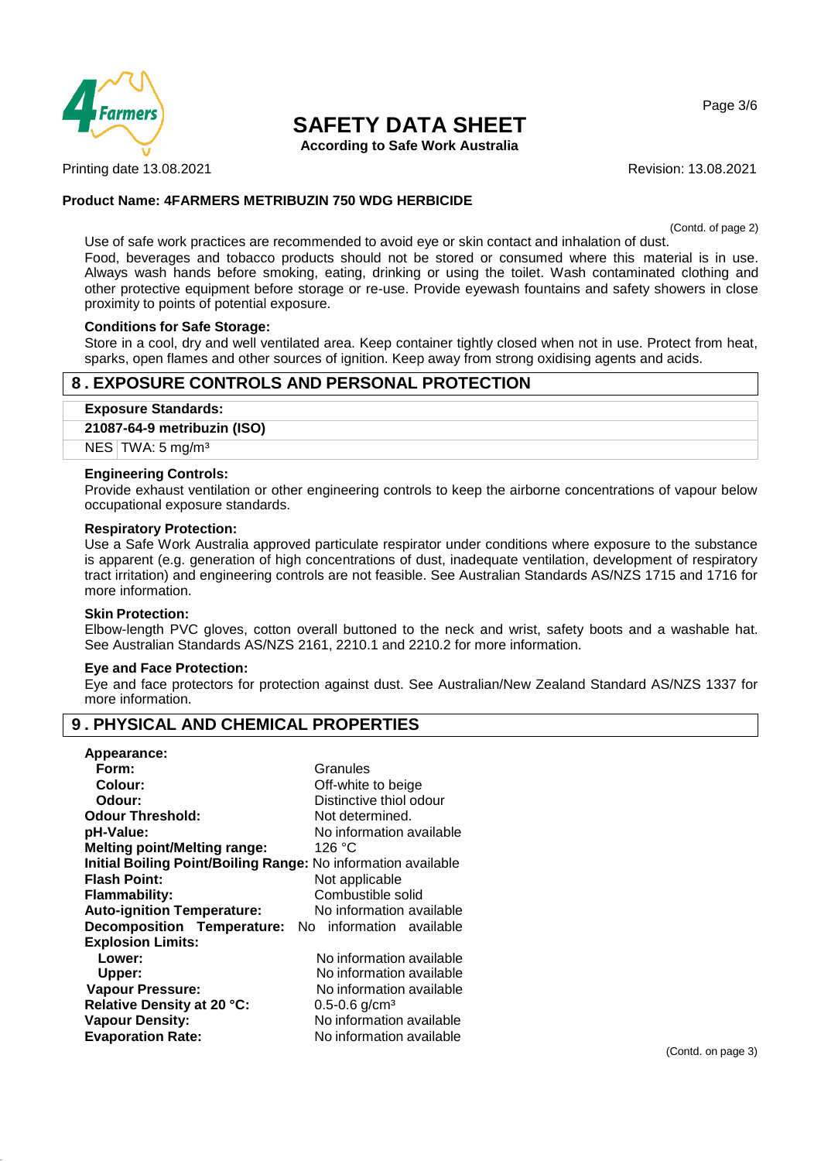

**According to Safe Work Australia**

Printing date 13.08.2021 **Revision: 13.08.2021** Revision: 13.08.2021

### **Product Name: 4FARMERS METRIBUZIN 750 WDG HERBICIDE**

(Contd. of page 2)

Page 3/6

Use of safe work practices are recommended to avoid eye or skin contact and inhalation of dust. Food, beverages and tobacco products should not be stored or consumed where this material is in use. Always wash hands before smoking, eating, drinking or using the toilet. Wash contaminated clothing and other protective equipment before storage or re-use. Provide eyewash fountains and safety showers in close proximity to points of potential exposure.

### **Conditions for Safe Storage:**

Store in a cool, dry and well ventilated area. Keep container tightly closed when not in use. Protect from heat, sparks, open flames and other sources of ignition. Keep away from strong oxidising agents and acids.

## **8 . EXPOSURE CONTROLS AND PERSONAL PROTECTION**

**Exposure Standards:**

#### **21087-64-9 metribuzin (ISO)**

NES TWA: 5 mg/m<sup>3</sup>

#### **Engineering Controls:**

Provide exhaust ventilation or other engineering controls to keep the airborne concentrations of vapour below occupational exposure standards.

#### **Respiratory Protection:**

Use a Safe Work Australia approved particulate respirator under conditions where exposure to the substance is apparent (e.g. generation of high concentrations of dust, inadequate ventilation, development of respiratory tract irritation) and engineering controls are not feasible. See Australian Standards AS/NZS 1715 and 1716 for more information.

#### **Skin Protection:**

Elbow-length PVC gloves, cotton overall buttoned to the neck and wrist, safety boots and a washable hat. See Australian Standards AS/NZS 2161, 2210.1 and 2210.2 for more information.

#### **Eye and Face Protection:**

Eye and face protectors for protection against dust. See Australian/New Zealand Standard AS/NZS 1337 for more information.

## **9 . PHYSICAL AND CHEMICAL PROPERTIES**

#### **Appearance:**

| Form:                                                                | Granules                      |
|----------------------------------------------------------------------|-------------------------------|
| Colour:                                                              | Off-white to beige            |
| Odour:                                                               | Distinctive thiol odour       |
| <b>Odour Threshold:</b>                                              | Not determined.               |
| pH-Value:                                                            | No information available      |
| <b>Melting point/Melting range:</b>                                  | 126 °C                        |
| <b>Initial Boiling Point/Boiling Range: No information available</b> |                               |
| <b>Flash Point:</b>                                                  | Not applicable                |
| <b>Flammability:</b>                                                 | Combustible solid             |
| <b>Auto-ignition Temperature:</b>                                    | No information available      |
| <b>Decomposition Temperature:</b> No information available           |                               |
| <b>Explosion Limits:</b>                                             |                               |
| Lower:                                                               | No information available      |
| Upper:                                                               | No information available      |
| <b>Vapour Pressure:</b>                                              | No information available      |
| Relative Density at 20 °C:                                           | $0.5 - 0.6$ g/cm <sup>3</sup> |
| <b>Vapour Density:</b>                                               | No information available      |
| <b>Evaporation Rate:</b>                                             | No information available      |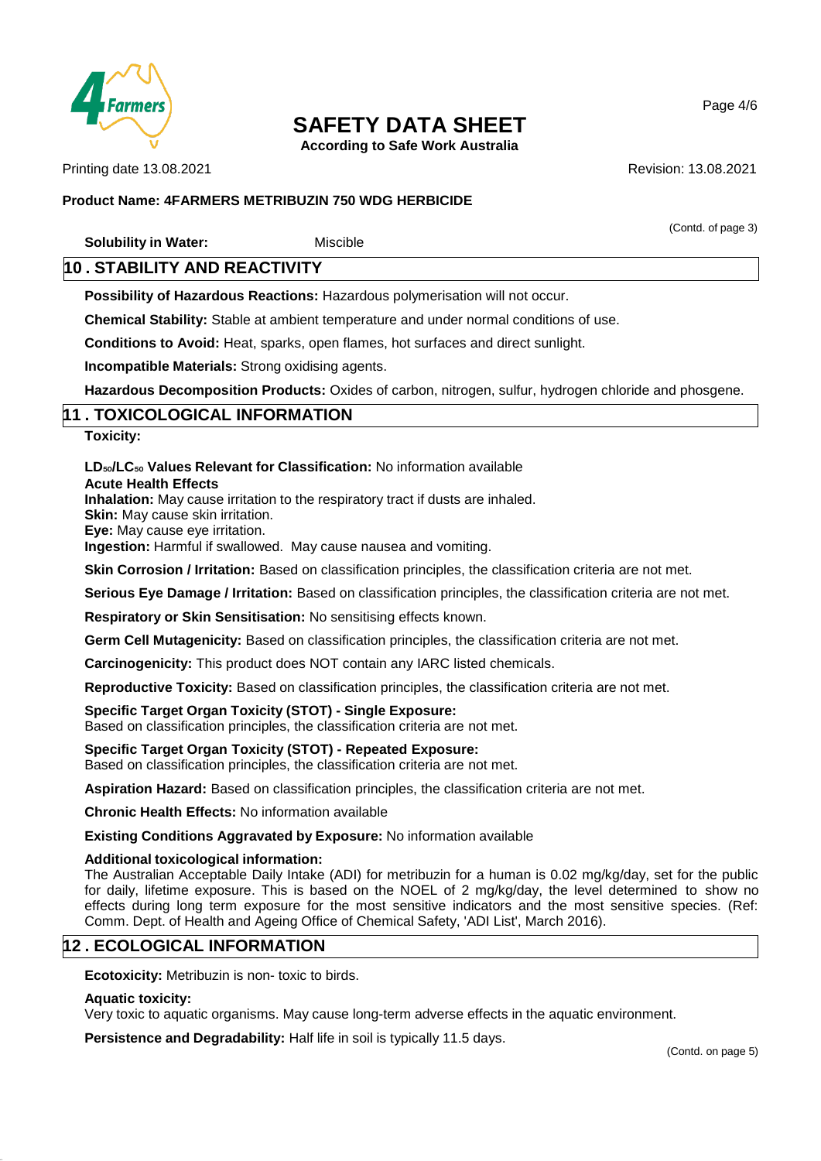

**According to Safe Work Australia**

Printing date 13.08.2021 **Revision: 13.08.2021** Revision: 13.08.2021

(Contd. of page 3)

### **Product Name: 4FARMERS METRIBUZIN 750 WDG HERBICIDE**

**Solubility in Water:** Miscible

## **10 . STABILITY AND REACTIVITY**

**Possibility of Hazardous Reactions:** Hazardous polymerisation will not occur.

**Chemical Stability:** Stable at ambient temperature and under normal conditions of use.

**Conditions to Avoid:** Heat, sparks, open flames, hot surfaces and direct sunlight.

**Incompatible Materials:** Strong oxidising agents.

**Hazardous Decomposition Products:** Oxides of carbon, nitrogen, sulfur, hydrogen chloride and phosgene.

## **11 . TOXICOLOGICAL INFORMATION**

**Toxicity:**

### **LD**₅₀**/LC**₅₀ **Values Relevant for Classification:** No information available

**Acute Health Effects**

**Inhalation:** May cause irritation to the respiratory tract if dusts are inhaled.

**Skin:** May cause skin irritation.

**Eye:** May cause eye irritation.

**Ingestion:** Harmful if swallowed. May cause nausea and vomiting.

**Skin Corrosion / Irritation:** Based on classification principles, the classification criteria are not met.

**Serious Eye Damage / Irritation:** Based on classification principles, the classification criteria are not met.

**Respiratory or Skin Sensitisation:** No sensitising effects known.

**Germ Cell Mutagenicity:** Based on classification principles, the classification criteria are not met.

**Carcinogenicity:** This product does NOT contain any IARC listed chemicals.

**Reproductive Toxicity:** Based on classification principles, the classification criteria are not met.

#### **Specific Target Organ Toxicity (STOT) - Single Exposure:**

Based on classification principles, the classification criteria are not met.

**Specific Target Organ Toxicity (STOT) - Repeated Exposure:** Based on classification principles, the classification criteria are not met.

**Aspiration Hazard:** Based on classification principles, the classification criteria are not met.

**Chronic Health Effects:** No information available

**Existing Conditions Aggravated by Exposure:** No information available

#### **Additional toxicological information:**

The Australian Acceptable Daily Intake (ADI) for metribuzin for a human is 0.02 mg/kg/day, set for the public for daily, lifetime exposure. This is based on the NOEL of 2 mg/kg/day, the level determined to show no effects during long term exposure for the most sensitive indicators and the most sensitive species. (Ref: Comm. Dept. of Health and Ageing Office of Chemical Safety, 'ADI List', March 2016).

# **12 . ECOLOGICAL INFORMATION**

**Ecotoxicity:** Metribuzin is non- toxic to birds.

#### **Aquatic toxicity:**

Very toxic to aquatic organisms. May cause long-term adverse effects in the aquatic environment.

**Persistence and Degradability:** Half life in soil is typically 11.5 days.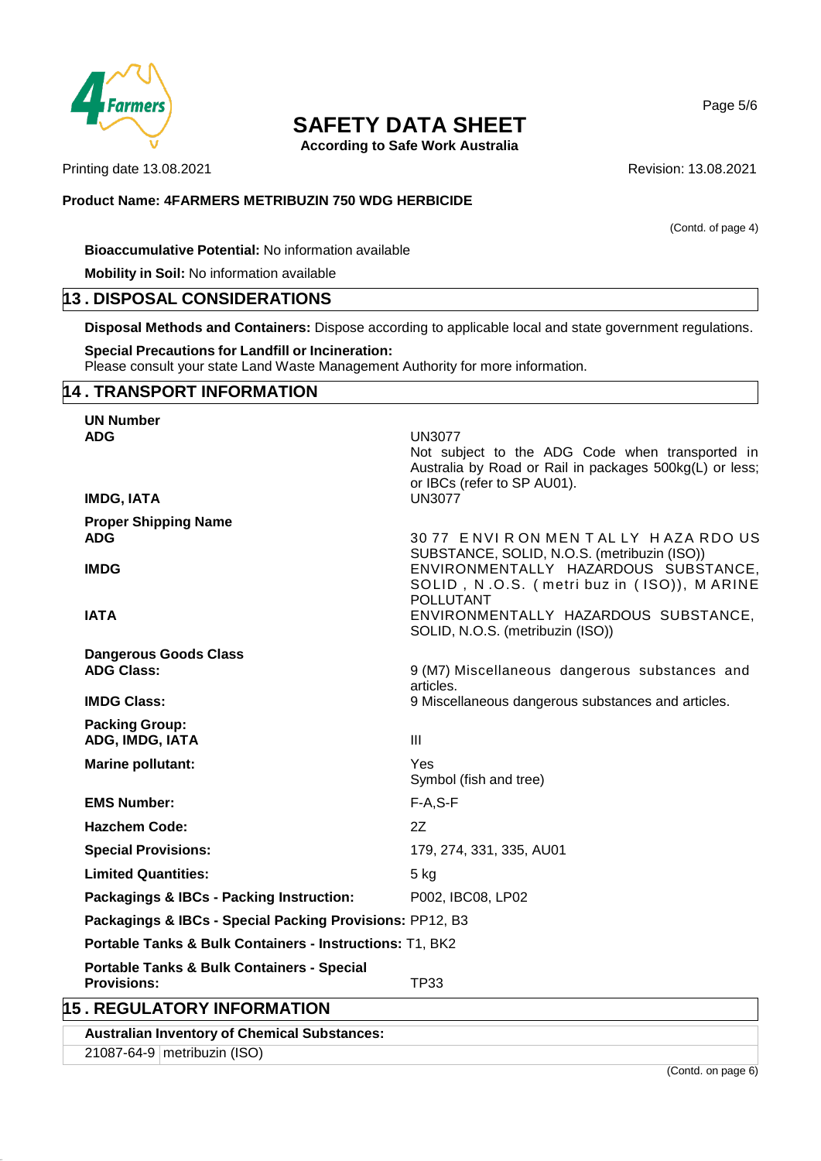

**According to Safe Work Australia**

Printing date 13.08.2021 **Revision: 13.08.2021** 

**Product Name: 4FARMERS METRIBUZIN 750 WDG HERBICIDE**

(Contd. of page 4)

**Bioaccumulative Potential:** No information available

**Mobility in Soil:** No information available

## **13 . DISPOSAL CONSIDERATIONS**

**Disposal Methods and Containers:** Dispose according to applicable local and state government regulations.

## **Special Precautions for Landfill or Incineration:**

Please consult your state Land Waste Management Authority for more information.

# **14 . TRANSPORT INFORMATION**

| <b>UN Number</b>                                                            |                                                                                                                                                                             |
|-----------------------------------------------------------------------------|-----------------------------------------------------------------------------------------------------------------------------------------------------------------------------|
| <b>ADG</b><br><b>IMDG, IATA</b>                                             | <b>UN3077</b><br>Not subject to the ADG Code when transported in<br>Australia by Road or Rail in packages 500kg(L) or less;<br>or IBCs (refer to SP AU01).<br><b>UN3077</b> |
|                                                                             |                                                                                                                                                                             |
| <b>Proper Shipping Name</b><br><b>ADG</b>                                   | 3077 ENVIRON MENTALLY HAZA RDOUS<br>SUBSTANCE, SOLID, N.O.S. (metribuzin (ISO))                                                                                             |
| <b>IMDG</b>                                                                 | ENVIRONMENTALLY HAZARDOUS SUBSTANCE,<br>SOLID, N.O.S. (metri buz in (ISO)), MARINE<br><b>POLLUTANT</b>                                                                      |
| <b>IATA</b>                                                                 | ENVIRONMENTALLY HAZARDOUS SUBSTANCE,<br>SOLID, N.O.S. (metribuzin (ISO))                                                                                                    |
| <b>Dangerous Goods Class</b>                                                |                                                                                                                                                                             |
| <b>ADG Class:</b>                                                           | 9 (M7) Miscellaneous dangerous substances and<br>articles.                                                                                                                  |
| <b>IMDG Class:</b>                                                          | 9 Miscellaneous dangerous substances and articles.                                                                                                                          |
| <b>Packing Group:</b><br>ADG, IMDG, IATA                                    | III                                                                                                                                                                         |
| <b>Marine pollutant:</b>                                                    | Yes<br>Symbol (fish and tree)                                                                                                                                               |
| <b>EMS Number:</b>                                                          | $F-A.S-F$                                                                                                                                                                   |
| <b>Hazchem Code:</b>                                                        | <b>27</b>                                                                                                                                                                   |
| <b>Special Provisions:</b>                                                  | 179, 274, 331, 335, AU01                                                                                                                                                    |
| <b>Limited Quantities:</b>                                                  | $5$ kg                                                                                                                                                                      |
| Packagings & IBCs - Packing Instruction:                                    | P002, IBC08, LP02                                                                                                                                                           |
| Packagings & IBCs - Special Packing Provisions: PP12, B3                    |                                                                                                                                                                             |
| Portable Tanks & Bulk Containers - Instructions: T1, BK2                    |                                                                                                                                                                             |
| <b>Portable Tanks &amp; Bulk Containers - Special</b><br><b>Provisions:</b> | <b>TP33</b>                                                                                                                                                                 |
| <b>15. REGULATORY INFORMATION</b>                                           |                                                                                                                                                                             |

**Australian Inventory of Chemical Substances:**

21087-64-9 metribuzin (ISO)

(Contd. on page 6)

Page 5/6